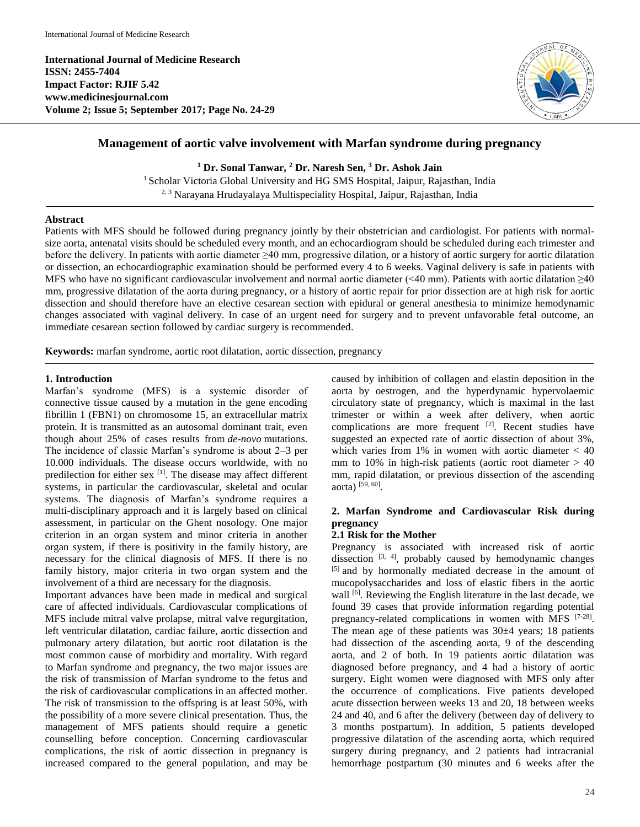**International Journal of Medicine Research ISSN: 2455-7404 Impact Factor: RJIF 5.42 www.medicinesjournal.com Volume 2; Issue 5; September 2017; Page No. 24-29**



# **Management of aortic valve involvement with Marfan syndrome during pregnancy**

**<sup>1</sup> Dr. Sonal Tanwar, <sup>2</sup> Dr. Naresh Sen, <sup>3</sup> Dr. Ashok Jain**

<sup>1</sup> Scholar Victoria Global University and HG SMS Hospital, Jaipur, Rajasthan, India 2, 3 Narayana Hrudayalaya Multispeciality Hospital, Jaipur, Rajasthan, India

#### **Abstract**

Patients with MFS should be followed during pregnancy jointly by their obstetrician and cardiologist. For patients with normalsize aorta, antenatal visits should be scheduled every month, and an echocardiogram should be scheduled during each trimester and before the delivery. In patients with aortic diameter ≥40 mm, progressive dilation, or a history of aortic surgery for aortic dilatation or dissection, an echocardiographic examination should be performed every 4 to 6 weeks. Vaginal delivery is safe in patients with MFS who have no significant cardiovascular involvement and normal aortic diameter  $( $40 \text{ mm}$ ). Patients with aortic dilatation  $\geq 40$$ mm, progressive dilatation of the aorta during pregnancy, or a history of aortic repair for prior dissection are at high risk for aortic dissection and should therefore have an elective cesarean section with epidural or general anesthesia to minimize hemodynamic changes associated with vaginal delivery. In case of an urgent need for surgery and to prevent unfavorable fetal outcome, an immediate cesarean section followed by cardiac surgery is recommended.

**Keywords:** marfan syndrome, aortic root dilatation, aortic dissection, pregnancy

### **1. Introduction**

Marfan's syndrome (MFS) is a systemic disorder of connective tissue caused by a mutation in the gene encoding fibrillin 1 (FBN1) on chromosome 15, an extracellular matrix protein. It is transmitted as an autosomal dominant trait, even though about 25% of cases results from *de-novo* mutations. The incidence of classic Marfan's syndrome is about 2–3 per 10.000 individuals. The disease occurs worldwide, with no predilection for either sex [1]. The disease may affect different systems, in particular the cardiovascular, skeletal and ocular systems. The diagnosis of Marfan's syndrome requires a multi-disciplinary approach and it is largely based on clinical assessment, in particular on the Ghent nosology. One major criterion in an organ system and minor criteria in another organ system, if there is positivity in the family history, are necessary for the clinical diagnosis of MFS. If there is no family history, major criteria in two organ system and the involvement of a third are necessary for the diagnosis.

Important advances have been made in medical and surgical care of affected individuals. Cardiovascular complications of MFS include mitral valve prolapse, mitral valve regurgitation, left ventricular dilatation, cardiac failure, aortic dissection and pulmonary artery dilatation, but aortic root dilatation is the most common cause of morbidity and mortality. With regard to Marfan syndrome and pregnancy, the two major issues are the risk of transmission of Marfan syndrome to the fetus and the risk of cardiovascular complications in an affected mother. The risk of transmission to the offspring is at least 50%, with the possibility of a more severe clinical presentation. Thus, the management of MFS patients should require a genetic counselling before conception. Concerning cardiovascular complications, the risk of aortic dissection in pregnancy is increased compared to the general population, and may be caused by inhibition of collagen and elastin deposition in the aorta by oestrogen, and the hyperdynamic hypervolaemic circulatory state of pregnancy, which is maximal in the last trimester or within a week after delivery, when aortic complications are more frequent  $[2]$ . Recent studies have suggested an expected rate of aortic dissection of about 3%, which varies from  $1\%$  in women with aortic diameter  $< 40$ mm to 10% in high-risk patients (aortic root diameter  $> 40$ mm, rapid dilatation, or previous dissection of the ascending aorta) [59, 60] .

### **2. Marfan Syndrome and Cardiovascular Risk during pregnancy**

## **2.1 Risk for the Mother**

Pregnancy is associated with increased risk of aortic dissection  $[3, 4]$ , probably caused by hemodynamic changes [5] and by hormonally mediated decrease in the amount of mucopolysaccharides and loss of elastic fibers in the aortic wall <sup>[6]</sup>. Reviewing the English literature in the last decade, we found 39 cases that provide information regarding potential pregnancy-related complications in women with MFS [7-28]. The mean age of these patients was  $30\pm4$  years; 18 patients had dissection of the ascending aorta, 9 of the descending aorta, and 2 of both. In 19 patients aortic dilatation was diagnosed before pregnancy, and 4 had a history of aortic surgery. Eight women were diagnosed with MFS only after the occurrence of complications. Five patients developed acute dissection between weeks 13 and 20, 18 between weeks 24 and 40, and 6 after the delivery (between day of delivery to 3 months postpartum). In addition, 5 patients developed progressive dilatation of the ascending aorta, which required surgery during pregnancy, and 2 patients had intracranial hemorrhage postpartum (30 minutes and 6 weeks after the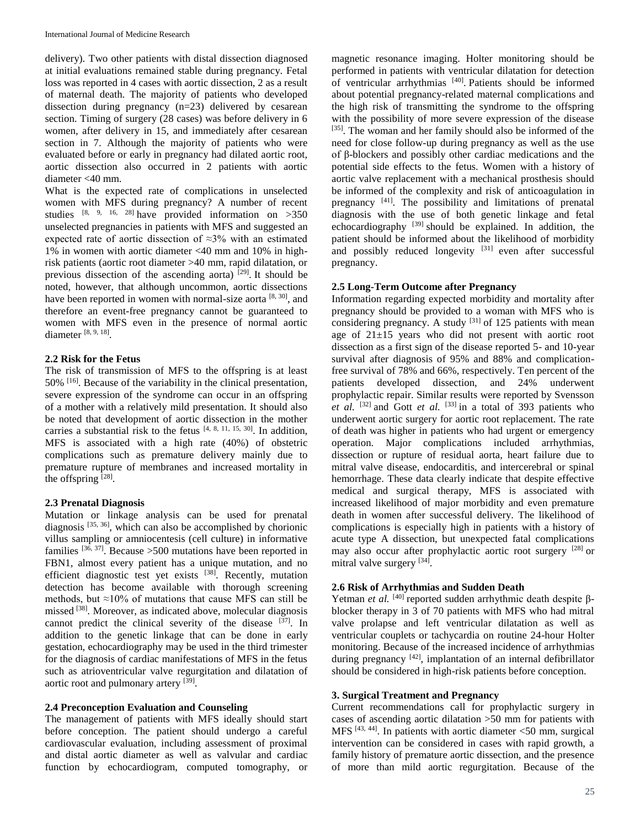delivery). Two other patients with distal dissection diagnosed at initial evaluations remained stable during pregnancy. Fetal loss was reported in 4 cases with aortic dissection, 2 as a result of maternal death. The majority of patients who developed dissection during pregnancy (n=23) delivered by cesarean section. Timing of surgery (28 cases) was before delivery in 6 women, after delivery in 15, and immediately after cesarean section in 7. Although the majority of patients who were evaluated before or early in pregnancy had dilated aortic root, aortic dissection also occurred in 2 patients with aortic diameter <40 mm.

What is the expected rate of complications in unselected women with MFS during pregnancy? A number of recent studies  $[8, 9, 16, 28]$  have provided information on  $>350$ unselected pregnancies in patients with MFS and suggested an expected rate of aortic dissection of ≈3% with an estimated 1% in women with aortic diameter <40 mm and 10% in highrisk patients (aortic root diameter >40 mm, rapid dilatation, or previous dissection of the ascending aorta) <sup>[29]</sup>. It should be noted, however, that although uncommon, aortic dissections have been reported in women with normal-size aorta<sup>[8, 30]</sup>, and therefore an event-free pregnancy cannot be guaranteed to women with MFS even in the presence of normal aortic diameter [8, 9, 18].

### **2.2 Risk for the Fetus**

The risk of transmission of MFS to the offspring is at least 50% <sup>[16]</sup>. Because of the variability in the clinical presentation, severe expression of the syndrome can occur in an offspring of a mother with a relatively mild presentation. It should also be noted that development of aortic dissection in the mother carries a substantial risk to the fetus  $[4, 8, 11, 15, 30]$ . In addition, MFS is associated with a high rate (40%) of obstetric complications such as premature delivery mainly due to premature rupture of membranes and increased mortality in the offspring [28].

#### **2.3 Prenatal Diagnosis**

Mutation or linkage analysis can be used for prenatal diagnosis  $[35, 36]$ , which can also be accomplished by chorionic villus sampling or amniocentesis (cell culture) in informative families  $[36, 37]$ . Because > 500 mutations have been reported in FBN1, almost every patient has a unique mutation, and no efficient diagnostic test yet exists [38]. Recently, mutation detection has become available with thorough screening methods, but  $\approx$ 10% of mutations that cause MFS can still be missed <sup>[38]</sup>. Moreover, as indicated above, molecular diagnosis cannot predict the clinical severity of the disease [37]. In addition to the genetic linkage that can be done in early gestation, echocardiography may be used in the third trimester for the diagnosis of cardiac manifestations of MFS in the fetus such as atrioventricular valve regurgitation and dilatation of aortic root and pulmonary artery [39].

### **2.4 Preconception Evaluation and Counseling**

The management of patients with MFS ideally should start before conception. The patient should undergo a careful cardiovascular evaluation, including assessment of proximal and distal aortic diameter as well as valvular and cardiac function by echocardiogram, computed tomography, or magnetic resonance imaging. Holter monitoring should be performed in patients with ventricular dilatation for detection of ventricular arrhythmias [40]. Patients should be informed about potential pregnancy-related maternal complications and the high risk of transmitting the syndrome to the offspring with the possibility of more severe expression of the disease [35]. The woman and her family should also be informed of the need for close follow-up during pregnancy as well as the use of β-blockers and possibly other cardiac medications and the potential side effects to the fetus. Women with a history of aortic valve replacement with a mechanical prosthesis should be informed of the complexity and risk of anticoagulation in pregnancy <sup>[41]</sup>. The possibility and limitations of prenatal diagnosis with the use of both genetic linkage and fetal echocardiography<sup>[39]</sup> should be explained. In addition, the patient should be informed about the likelihood of morbidity and possibly reduced longevity  $[31]$  even after successful pregnancy.

### **2.5 Long-Term Outcome after Pregnancy**

Information regarding expected morbidity and mortality after pregnancy should be provided to a woman with MFS who is considering pregnancy. A study <sup>[31]</sup> of 125 patients with mean age of 21±15 years who did not present with aortic root dissection as a first sign of the disease reported 5- and 10-year survival after diagnosis of 95% and 88% and complicationfree survival of 78% and 66%, respectively. Ten percent of the patients developed dissection, and 24% underwent prophylactic repair. Similar results were reported by Svensson *et al.* [32] and Gott *et al.* [33] in a total of 393 patients who underwent aortic surgery for aortic root replacement. The rate of death was higher in patients who had urgent or emergency operation. Major complications included arrhythmias, dissection or rupture of residual aorta, heart failure due to mitral valve disease, endocarditis, and intercerebral or spinal hemorrhage. These data clearly indicate that despite effective medical and surgical therapy, MFS is associated with increased likelihood of major morbidity and even premature death in women after successful delivery. The likelihood of complications is especially high in patients with a history of acute type A dissection, but unexpected fatal complications may also occur after prophylactic aortic root surgery [28] or mitral valve surgery [34].

#### **2.6 Risk of Arrhythmias and Sudden Death**

Yetman *et al.* [40] reported sudden arrhythmic death despite βblocker therapy in 3 of 70 patients with MFS who had mitral valve prolapse and left ventricular dilatation as well as ventricular couplets or tachycardia on routine 24-hour Holter monitoring. Because of the increased incidence of arrhythmias during pregnancy [42], implantation of an internal defibrillator should be considered in high-risk patients before conception.

#### **3. Surgical Treatment and Pregnancy**

Current recommendations call for prophylactic surgery in cases of ascending aortic dilatation >50 mm for patients with MFS  $[43, 44]$ . In patients with aortic diameter <50 mm, surgical intervention can be considered in cases with rapid growth, a family history of premature aortic dissection, and the presence of more than mild aortic regurgitation. Because of the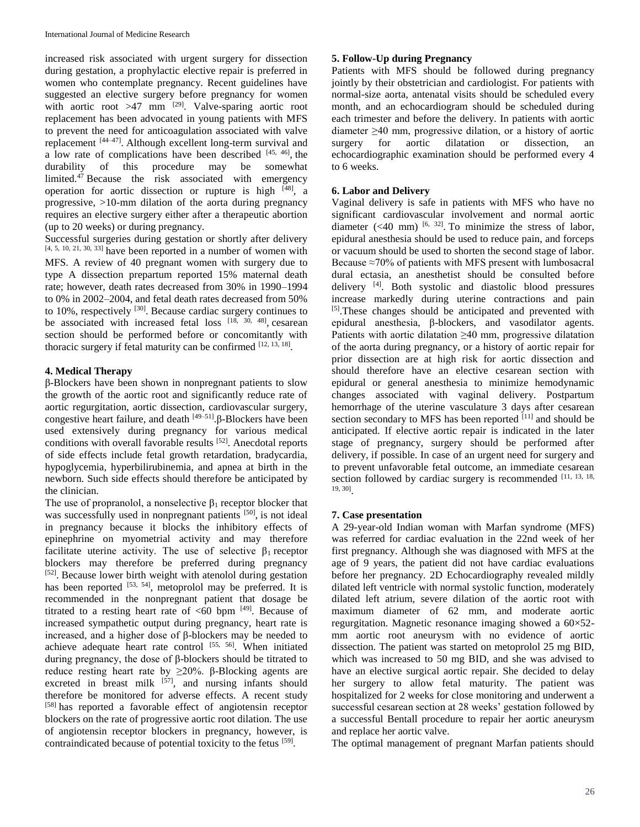increased risk associated with urgent surgery for dissection during gestation, a prophylactic elective repair is preferred in women who contemplate pregnancy. Recent guidelines have suggested an elective surgery before pregnancy for women with aortic root  $>47$  mm <sup>[29]</sup>. Valve-sparing aortic root replacement has been advocated in young patients with MFS to prevent the need for anticoagulation associated with valve replacement [44-47]. Although excellent long-term survival and a low rate of complications have been described  $[45, 46]$ , the durability of this procedure may be somewhat limited. $4^7$  Because the risk associated with emergency operation for aortic dissection or rupture is high [48], a progressive, >10-mm dilation of the aorta during pregnancy requires an elective surgery either after a therapeutic abortion (up to 20 weeks) or during pregnancy.

Successful surgeries during gestation or shortly after delivery  $[4, 5, 10, 21, 30, 33]$  have been reported in a number of women with MFS. A review of 40 pregnant women with surgery due to type A dissection prepartum reported 15% maternal death rate; however, death rates decreased from 30% in 1990–1994 to 0% in 2002–2004, and fetal death rates decreased from 50% to  $10\%$ , respectively  $^{[30]}$ . Because cardiac surgery continues to be associated with increased fetal loss  $[18, 30, 48]$ , cesarean section should be performed before or concomitantly with thoracic surgery if fetal maturity can be confirmed  $[12, 13, 18]$ .

## **4. Medical Therapy**

β-Blockers have been shown in nonpregnant patients to slow the growth of the aortic root and significantly reduce rate of aortic regurgitation, aortic dissection, cardiovascular surgery, congestive heart failure, and death <sup>[49–51]</sup>.β-Blockers have been used extensively during pregnancy for various medical conditions with overall favorable results [52]. Anecdotal reports of side effects include fetal growth retardation, bradycardia, hypoglycemia, hyperbilirubinemia, and apnea at birth in the newborn. Such side effects should therefore be anticipated by the clinician.

The use of propranolol, a nonselective  $\beta_1$  receptor blocker that was successfully used in nonpregnant patients [50], is not ideal in pregnancy because it blocks the inhibitory effects of epinephrine on myometrial activity and may therefore facilitate uterine activity. The use of selective  $\beta_1$  receptor blockers may therefore be preferred during pregnancy [52]. Because lower birth weight with atenolol during gestation has been reported  $[53, 54]$ , metoprolol may be preferred. It is recommended in the nonpregnant patient that dosage be titrated to a resting heart rate of  $<60$  bpm  $[49]$ . Because of increased sympathetic output during pregnancy, heart rate is increased, and a higher dose of β-blockers may be needed to achieve adequate heart rate control [55, 56]. When initiated during pregnancy, the dose of β-blockers should be titrated to reduce resting heart rate by  $\geq 20\%$ . β-Blocking agents are excreted in breast milk  $[57]$ , and nursing infants should therefore be monitored for adverse effects. A recent study [58] has reported a favorable effect of angiotensin receptor blockers on the rate of progressive aortic root dilation. The use of angiotensin receptor blockers in pregnancy, however, is contraindicated because of potential toxicity to the fetus [59].

### **5. Follow-Up during Pregnancy**

Patients with MFS should be followed during pregnancy jointly by their obstetrician and cardiologist. For patients with normal-size aorta, antenatal visits should be scheduled every month, and an echocardiogram should be scheduled during each trimester and before the delivery. In patients with aortic diameter ≥40 mm, progressive dilation, or a history of aortic surgery for aortic dilatation or dissection, an echocardiographic examination should be performed every 4 to 6 weeks.

### **6. Labor and Delivery**

Vaginal delivery is safe in patients with MFS who have no significant cardiovascular involvement and normal aortic diameter  $( $40 \text{ mm}$ )$  <sup>[6, 32]</sup>. To minimize the stress of labor, epidural anesthesia should be used to reduce pain, and forceps or vacuum should be used to shorten the second stage of labor. Because  $\approx$ 70% of patients with MFS present with lumbosacral dural ectasia, an anesthetist should be consulted before delivery [4] . Both systolic and diastolic blood pressures increase markedly during uterine contractions and pain [5]. These changes should be anticipated and prevented with epidural anesthesia, β-blockers, and vasodilator agents. Patients with aortic dilatation  $\geq 40$  mm, progressive dilatation of the aorta during pregnancy, or a history of aortic repair for prior dissection are at high risk for aortic dissection and should therefore have an elective cesarean section with epidural or general anesthesia to minimize hemodynamic changes associated with vaginal delivery. Postpartum hemorrhage of the uterine vasculature 3 days after cesarean section secondary to MFS has been reported  $[11]$  and should be anticipated. If elective aortic repair is indicated in the later stage of pregnancy, surgery should be performed after delivery, if possible. In case of an urgent need for surgery and to prevent unfavorable fetal outcome, an immediate cesarean section followed by cardiac surgery is recommended [11, 13, 18, 19, 30] .

#### **7. Case presentation**

A 29-year-old Indian woman with Marfan syndrome (MFS) was referred for cardiac evaluation in the 22nd week of her first pregnancy. Although she was diagnosed with MFS at the age of 9 years, the patient did not have cardiac evaluations before her pregnancy. 2D Echocardiography revealed mildly dilated left ventricle with normal systolic function, moderately dilated left atrium, severe dilation of the aortic root with maximum diameter of 62 mm, and moderate aortic regurgitation. Magnetic resonance imaging showed a 60×52 mm aortic root aneurysm with no evidence of aortic dissection. The patient was started on metoprolol 25 mg BID, which was increased to 50 mg BID, and she was advised to have an elective surgical aortic repair. She decided to delay her surgery to allow fetal maturity. The patient was hospitalized for 2 weeks for close monitoring and underwent a successful cesarean section at 28 weeks' gestation followed by a successful Bentall procedure to repair her aortic aneurysm and replace her aortic valve.

The optimal management of pregnant Marfan patients should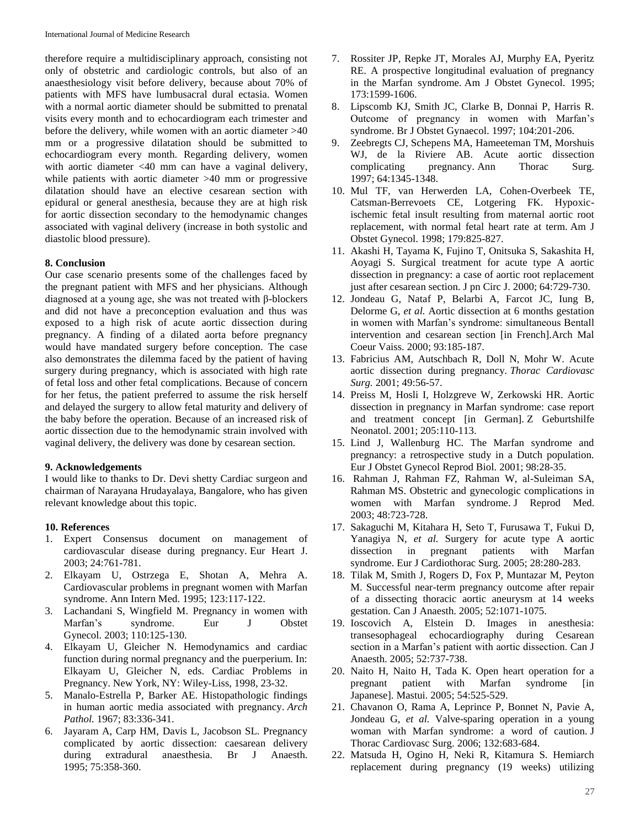therefore require a multidisciplinary approach, consisting not only of obstetric and cardiologic controls, but also of an anaesthesiology visit before delivery, because about 70% of patients with MFS have lumbusacral dural ectasia. Women with a normal aortic diameter should be submitted to prenatal visits every month and to echocardiogram each trimester and before the delivery, while women with an aortic diameter >40 mm or a progressive dilatation should be submitted to echocardiogram every month. Regarding delivery, women with aortic diameter <40 mm can have a vaginal delivery, while patients with aortic diameter >40 mm or progressive dilatation should have an elective cesarean section with epidural or general anesthesia, because they are at high risk for aortic dissection secondary to the hemodynamic changes associated with vaginal delivery (increase in both systolic and diastolic blood pressure).

### **8. Conclusion**

Our case scenario presents some of the challenges faced by the pregnant patient with MFS and her physicians. Although diagnosed at a young age, she was not treated with β-blockers and did not have a preconception evaluation and thus was exposed to a high risk of acute aortic dissection during pregnancy. A finding of a dilated aorta before pregnancy would have mandated surgery before conception. The case also demonstrates the dilemma faced by the patient of having surgery during pregnancy, which is associated with high rate of fetal loss and other fetal complications. Because of concern for her fetus, the patient preferred to assume the risk herself and delayed the surgery to allow fetal maturity and delivery of the baby before the operation. Because of an increased risk of aortic dissection due to the hemodynamic strain involved with vaginal delivery, the delivery was done by cesarean section.

#### **9. Acknowledgements**

I would like to thanks to Dr. Devi shetty Cardiac surgeon and chairman of Narayana Hrudayalaya, Bangalore, who has given relevant knowledge about this topic.

#### **10. References**

- 1. Expert Consensus document on management of cardiovascular disease during pregnancy. Eur Heart J. 2003; 24:761-781.
- 2. Elkayam U, Ostrzega E, Shotan A, Mehra A. Cardiovascular problems in pregnant women with Marfan syndrome. Ann Intern Med. 1995; 123:117-122.
- 3. Lachandani S, Wingfield M. Pregnancy in women with Marfan's syndrome. Eur J Obstet Gynecol. 2003; 110:125-130.
- 4. Elkayam U, Gleicher N. Hemodynamics and cardiac function during normal pregnancy and the puerperium. In: Elkayam U, Gleicher N, eds. Cardiac Problems in Pregnancy. New York, NY: Wiley-Liss, 1998, 23-32.
- 5. Manalo-Estrella P, Barker AE. Histopathologic findings in human aortic media associated with pregnancy. *Arch Pathol.* 1967; 83:336-341.
- 6. Jayaram A, Carp HM, Davis L, Jacobson SL. Pregnancy complicated by aortic dissection: caesarean delivery during extradural anaesthesia. Br J Anaesth*.* 1995; 75:358-360.
- 7. Rossiter JP, Repke JT, Morales AJ, Murphy EA, Pyeritz RE. A prospective longitudinal evaluation of pregnancy in the Marfan syndrome. Am J Obstet Gynecol. 1995; 173:1599-1606.
- 8. Lipscomb KJ, Smith JC, Clarke B, Donnai P, Harris R. Outcome of pregnancy in women with Marfan's syndrome. Br J Obstet Gynaecol. 1997; 104:201-206.
- 9. Zeebregts CJ, Schepens MA, Hameeteman TM, Morshuis WJ, de la Riviere AB. Acute aortic dissection<br>complicating pregnancy. Ann Thorac Surg. complicating pregnancy. Ann Thorac Surg. 1997; 64:1345-1348.
- 10. Mul TF, van Herwerden LA, Cohen-Overbeek TE, Catsman-Berrevoets CE, Lotgering FK. Hypoxicischemic fetal insult resulting from maternal aortic root replacement, with normal fetal heart rate at term. Am J Obstet Gynecol. 1998; 179:825-827.
- 11. Akashi H, Tayama K, Fujino T, Onitsuka S, Sakashita H, Aoyagi S. Surgical treatment for acute type A aortic dissection in pregnancy: a case of aortic root replacement just after cesarean section. J pn Circ J. 2000; 64:729-730.
- 12. Jondeau G, Nataf P, Belarbi A, Farcot JC, Iung B, Delorme G, *et al.* Aortic dissection at 6 months gestation in women with Marfan's syndrome: simultaneous Bentall intervention and cesarean section [in French].Arch Mal Coeur Vaiss. 2000; 93:185-187.
- 13. Fabricius AM, Autschbach R, Doll N, Mohr W. Acute aortic dissection during pregnancy. *Thorac Cardiovasc Surg.* 2001; 49:56-57.
- 14. Preiss M, Hosli I, Holzgreve W, Zerkowski HR. Aortic dissection in pregnancy in Marfan syndrome: case report and treatment concept [in German]. Z Geburtshilfe Neonatol. 2001; 205:110-113.
- 15. Lind J, Wallenburg HC. The Marfan syndrome and pregnancy: a retrospective study in a Dutch population. Eur J Obstet Gynecol Reprod Biol. 2001; 98:28-35.
- 16. Rahman J, Rahman FZ, Rahman W, al-Suleiman SA, Rahman MS. Obstetric and gynecologic complications in women with Marfan syndrome. J Reprod Med. 2003; 48:723-728.
- 17. Sakaguchi M, Kitahara H, Seto T, Furusawa T, Fukui D, Yanagiya N, *et al.* Surgery for acute type A aortic dissection in pregnant patients with Marfan syndrome. Eur J Cardiothorac Surg. 2005; 28:280-283.
- 18. Tilak M, Smith J, Rogers D, Fox P, Muntazar M, Peyton M. Successful near-term pregnancy outcome after repair of a dissecting thoracic aortic aneurysm at 14 weeks gestation. Can J Anaesth. 2005; 52:1071-1075.
- 19. Ioscovich A, Elstein D. Images in anesthesia: transesophageal echocardiography during Cesarean section in a Marfan's patient with aortic dissection. Can J Anaesth. 2005; 52:737-738.
- 20. Naito H, Naito H, Tada K. Open heart operation for a pregnant patient with Marfan syndrome [in Japanese]. Mastui. 2005; 54:525-529.
- 21. Chavanon O, Rama A, Leprince P, Bonnet N, Pavie A, Jondeau G, *et al.* Valve-sparing operation in a young woman with Marfan syndrome: a word of caution. J Thorac Cardiovasc Surg. 2006; 132:683-684.
- 22. Matsuda H, Ogino H, Neki R, Kitamura S. Hemiarch replacement during pregnancy (19 weeks) utilizing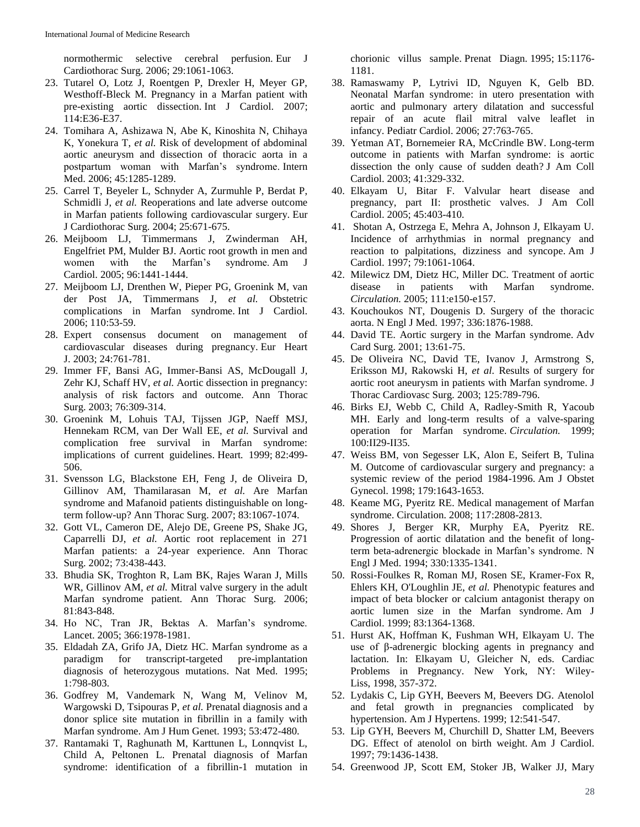normothermic selective cerebral perfusion. Eur J Cardiothorac Surg. 2006; 29:1061-1063.

- 23. Tutarel O, Lotz J, Roentgen P, Drexler H, Meyer GP, Westhoff-Bleck M. Pregnancy in a Marfan patient with pre-existing aortic dissection. Int J Cardiol. 2007; 114:E36-E37.
- 24. Tomihara A, Ashizawa N, Abe K, Kinoshita N, Chihaya K, Yonekura T, *et al.* Risk of development of abdominal aortic aneurysm and dissection of thoracic aorta in a postpartum woman with Marfan's syndrome. Intern Med. 2006; 45:1285-1289.
- 25. Carrel T, Beyeler L, Schnyder A, Zurmuhle P, Berdat P, Schmidli J, *et al.* Reoperations and late adverse outcome in Marfan patients following cardiovascular surgery. Eur J Cardiothorac Surg. 2004; 25:671-675.
- 26. Meijboom LJ, Timmermans J, Zwinderman AH, Engelfriet PM, Mulder BJ. Aortic root growth in men and women with the Marfan's syndrome. Am J Cardiol. 2005; 96:1441-1444.
- 27. Meijboom LJ, Drenthen W, Pieper PG, Groenink M, van der Post JA, Timmermans J, *et al.* Obstetric complications in Marfan syndrome. Int J Cardiol. 2006; 110:53-59.
- 28. Expert consensus document on management of cardiovascular diseases during pregnancy. Eur Heart J. 2003; 24:761-781.
- 29. Immer FF, Bansi AG, Immer-Bansi AS, McDougall J, Zehr KJ, Schaff HV, *et al.* Aortic dissection in pregnancy: analysis of risk factors and outcome. Ann Thorac Surg. 2003; 76:309-314.
- 30. Groenink M, Lohuis TAJ, Tijssen JGP, Naeff MSJ, Hennekam RCM, van Der Wall EE, *et al.* Survival and complication free survival in Marfan syndrome: implications of current guidelines. Heart*.* 1999; 82:499- 506.
- 31. Svensson LG, Blackstone EH, Feng J, de Oliveira D, Gillinov AM, Thamilarasan M, *et al.* Are Marfan syndrome and Mafanoid patients distinguishable on longterm follow-up? Ann Thorac Surg. 2007; 83:1067-1074.
- 32. Gott VL, Cameron DE, Alejo DE, Greene PS, Shake JG, Caparrelli DJ, *et al.* Aortic root replacement in 271 Marfan patients: a 24-year experience. Ann Thorac Surg. 2002; 73:438-443.
- 33. Bhudia SK, Troghton R, Lam BK, Rajes Waran J, Mills WR, Gillinov AM, *et al.* Mitral valve surgery in the adult Marfan syndrome patient. Ann Thorac Surg. 2006; 81:843-848.
- 34. Ho NC, Tran JR, Bektas A. Marfan's syndrome. Lancet. 2005; 366:1978-1981.
- 35. Eldadah ZA, Grifo JA, Dietz HC. Marfan syndrome as a paradigm for transcript-targeted pre-implantation diagnosis of heterozygous mutations. Nat Med. 1995; 1:798-803.
- 36. Godfrey M, Vandemark N, Wang M, Velinov M, Wargowski D, Tsipouras P, *et al.* Prenatal diagnosis and a donor splice site mutation in fibrillin in a family with Marfan syndrome. Am J Hum Genet. 1993; 53:472-480.
- 37. Rantamaki T, Raghunath M, Karttunen L, Lonnqvist L, Child A, Peltonen L. Prenatal diagnosis of Marfan syndrome: identification of a fibrillin-1 mutation in

chorionic villus sample. Prenat Diagn. 1995; 15:1176- 1181.

- 38. Ramaswamy P, Lytrivi ID, Nguyen K, Gelb BD. Neonatal Marfan syndrome: in utero presentation with aortic and pulmonary artery dilatation and successful repair of an acute flail mitral valve leaflet in infancy. Pediatr Cardiol. 2006; 27:763-765.
- 39. Yetman AT, Bornemeier RA, McCrindle BW. Long-term outcome in patients with Marfan syndrome: is aortic dissection the only cause of sudden death? J Am Coll Cardiol. 2003; 41:329-332.
- 40. Elkayam U, Bitar F. Valvular heart disease and pregnancy, part II: prosthetic valves. J Am Coll Cardiol. 2005; 45:403-410.
- 41. Shotan A, Ostrzega E, Mehra A, Johnson J, Elkayam U. Incidence of arrhythmias in normal pregnancy and reaction to palpitations, dizziness and syncope. Am J Cardiol. 1997; 79:1061-1064.
- 42. Milewicz DM, Dietz HC, Miller DC. Treatment of aortic disease in patients with Marfan syndrome. *Circulation.* 2005; 111:e150-e157.
- 43. Kouchoukos NT, Dougenis D. Surgery of the thoracic aorta. N Engl J Med. 1997; 336:1876-1988.
- 44. David TE. Aortic surgery in the Marfan syndrome. Adv Card Surg. 2001; 13:61-75.
- 45. De Oliveira NC, David TE, Ivanov J, Armstrong S, Eriksson MJ, Rakowski H, *et al.* Results of surgery for aortic root aneurysm in patients with Marfan syndrome. J Thorac Cardiovasc Surg. 2003; 125:789-796.
- 46. Birks EJ, Webb C, Child A, Radley-Smith R, Yacoub MH. Early and long-term results of a valve-sparing operation for Marfan syndrome. *Circulation.* 1999; 100:II29-II35.
- 47. Weiss BM, von Segesser LK, Alon E, Seifert B, Tulina M. Outcome of cardiovascular surgery and pregnancy: a systemic review of the period 1984-1996. Am J Obstet Gynecol. 1998; 179:1643-1653.
- 48. Keame MG, Pyeritz RE. Medical management of Marfan syndrome. Circulation. 2008; 117:2808-2813.
- 49. Shores J, Berger KR, Murphy EA, Pyeritz RE. Progression of aortic dilatation and the benefit of longterm beta-adrenergic blockade in Marfan's syndrome. N Engl J Med. 1994; 330:1335-1341.
- 50. Rossi-Foulkes R, Roman MJ, Rosen SE, Kramer-Fox R, Ehlers KH, O'Loughlin JE, *et al.* Phenotypic features and impact of beta blocker or calcium antagonist therapy on aortic lumen size in the Marfan syndrome. Am J Cardiol. 1999; 83:1364-1368.
- 51. Hurst AK, Hoffman K, Fushman WH, Elkayam U. The use of β-adrenergic blocking agents in pregnancy and lactation. In: Elkayam U, Gleicher N, eds. Cardiac Problems in Pregnancy. New York, NY: Wiley-Liss, 1998, 357-372.
- 52. Lydakis C, Lip GYH, Beevers M, Beevers DG. Atenolol and fetal growth in pregnancies complicated by hypertension. Am J Hypertens. 1999; 12:541-547.
- 53. Lip GYH, Beevers M, Churchill D, Shatter LM, Beevers DG. Effect of atenolol on birth weight. Am J Cardiol. 1997; 79:1436-1438.
- 54. Greenwood JP, Scott EM, Stoker JB, Walker JJ, Mary